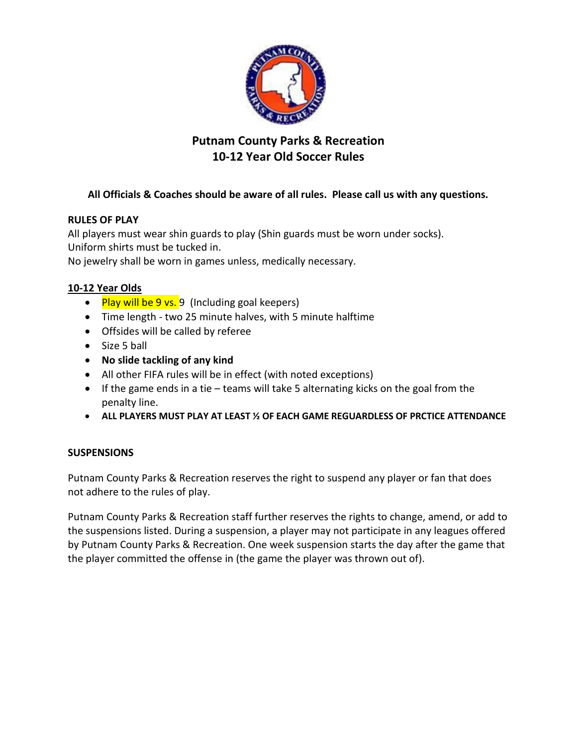

# **Putnam County Parks & Recreation 10-12 Year Old Soccer Rules**

# **All Officials & Coaches should be aware of all rules. Please call us with any questions.**

## **RULES OF PLAY**

All players must wear shin guards to play (Shin guards must be worn under socks). Uniform shirts must be tucked in.

No jewelry shall be worn in games unless, medically necessary.

## **10-12 Year Olds**

- Play will be 9 vs. 9 (Including goal keepers)
- Time length two 25 minute halves, with 5 minute halftime
- Offsides will be called by referee
- Size 5 ball
- **No slide tackling of any kind**
- All other FIFA rules will be in effect (with noted exceptions)
- If the game ends in a tie teams will take 5 alternating kicks on the goal from the penalty line.
- **ALL PLAYERS MUST PLAY AT LEAST ½ OF EACH GAME REGUARDLESS OF PRCTICE ATTENDANCE**

# **SUSPENSIONS**

Putnam County Parks & Recreation reserves the right to suspend any player or fan that does not adhere to the rules of play.

Putnam County Parks & Recreation staff further reserves the rights to change, amend, or add to the suspensions listed. During a suspension, a player may not participate in any leagues offered by Putnam County Parks & Recreation. One week suspension starts the day after the game that the player committed the offense in (the game the player was thrown out of).